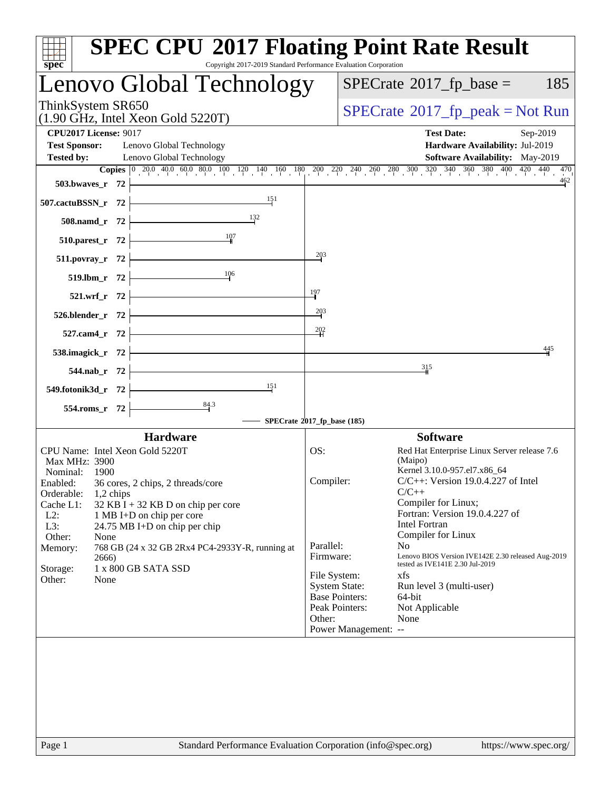| $s\overline{p}\overline{e}\overline{c}$                                                                                           | <b>SPEC CPU®2017 Floating Point Rate Result</b><br>Copyright 2017-2019 Standard Performance Evaluation Corporation                                                                             |
|-----------------------------------------------------------------------------------------------------------------------------------|------------------------------------------------------------------------------------------------------------------------------------------------------------------------------------------------|
| Lenovo Global Technology                                                                                                          | $SPECrate^{\circledast}2017$ _fp_base =<br>185                                                                                                                                                 |
| ThinkSystem SR650<br>$(1.90 \text{ GHz}, \text{Intel Xeon Gold } 5220 \text{T})$                                                  | $SPECrate^{\circ}2017rfp peak = Not Run$                                                                                                                                                       |
| <b>CPU2017 License: 9017</b><br><b>Test Sponsor:</b><br>Lenovo Global Technology<br><b>Tested by:</b><br>Lenovo Global Technology | <b>Test Date:</b><br>Sep-2019<br>Hardware Availability: Jul-2019<br>Software Availability: May-2019                                                                                            |
|                                                                                                                                   | <b>Copies</b> $\begin{bmatrix} 0 & 20.0 & 40.0 & 60.0 & 80.0 & 100 & 120 & 140 & 160 & 180 & 200 & 220 & 240 & 260 & 280 & 300 & 320 & 340 & 360 & 380 & 400 & 420 & 440 \end{bmatrix}$<br>470 |
| 503.bwayes_r 72                                                                                                                   | 462                                                                                                                                                                                            |
| 151<br>507.cactuBSSN_r 72                                                                                                         |                                                                                                                                                                                                |
| 508.namd_r 72                                                                                                                     |                                                                                                                                                                                                |
| 510.parest_r 72                                                                                                                   |                                                                                                                                                                                                |
| 511.povray_r 72                                                                                                                   | $\frac{203}{2}$                                                                                                                                                                                |
| 106<br>519.lbm_r 72                                                                                                               |                                                                                                                                                                                                |
| 521.wrf_r 72                                                                                                                      | 197                                                                                                                                                                                            |
| 526.blender_r 72                                                                                                                  | $\frac{203}{2}$                                                                                                                                                                                |
| 527.cam4_r 72                                                                                                                     | $\frac{202}{5}$                                                                                                                                                                                |
| 538.imagick_r 72                                                                                                                  | 445                                                                                                                                                                                            |
| 544.nab_r 72                                                                                                                      | 315                                                                                                                                                                                            |
| 151<br>549.fotonik3d_r 72                                                                                                         |                                                                                                                                                                                                |
| $\frac{84.3}{ }$<br>554.roms_r 72                                                                                                 |                                                                                                                                                                                                |
|                                                                                                                                   | SPECrate®2017_fp_base (185)                                                                                                                                                                    |
| <b>Hardware</b>                                                                                                                   | <b>Software</b>                                                                                                                                                                                |
| CPU Name: Intel Xeon Gold 5220T                                                                                                   | Red Hat Enterprise Linux Server release 7.6<br>OS:                                                                                                                                             |
| Max MHz: 3900                                                                                                                     | (Maipo)<br>Kernel 3.10.0-957.el7.x86_64                                                                                                                                                        |
| Nominal:<br>1900<br>Enabled:<br>36 cores, 2 chips, 2 threads/core                                                                 | $C/C++$ : Version 19.0.4.227 of Intel<br>Compiler:                                                                                                                                             |
| Orderable:<br>$1,2$ chips                                                                                                         | $C/C++$                                                                                                                                                                                        |
| Cache L1:<br>$32$ KB I + 32 KB D on chip per core                                                                                 | Compiler for Linux;<br>Fortran: Version 19.0.4.227 of                                                                                                                                          |
| $L2$ :<br>1 MB I+D on chip per core<br>L3:<br>24.75 MB I+D on chip per chip                                                       | Intel Fortran                                                                                                                                                                                  |
| Other:<br>None                                                                                                                    | Compiler for Linux                                                                                                                                                                             |
| Memory:<br>768 GB (24 x 32 GB 2Rx4 PC4-2933Y-R, running at                                                                        | Parallel:<br>N <sub>o</sub>                                                                                                                                                                    |
| 2666)<br>1 x 800 GB SATA SSD<br>Storage:                                                                                          | Lenovo BIOS Version IVE142E 2.30 released Aug-2019<br>Firmware:<br>tested as IVE141E 2.30 Jul-2019                                                                                             |
| Other:<br>None                                                                                                                    | File System:<br>xfs                                                                                                                                                                            |
|                                                                                                                                   | <b>System State:</b><br>Run level 3 (multi-user)<br><b>Base Pointers:</b><br>64-bit                                                                                                            |
|                                                                                                                                   | Peak Pointers:<br>Not Applicable                                                                                                                                                               |
|                                                                                                                                   | Other:<br>None                                                                                                                                                                                 |
|                                                                                                                                   | Power Management: --                                                                                                                                                                           |
|                                                                                                                                   |                                                                                                                                                                                                |
| Page 1                                                                                                                            | Standard Performance Evaluation Corporation (info@spec.org)<br>https://www.spec.org/                                                                                                           |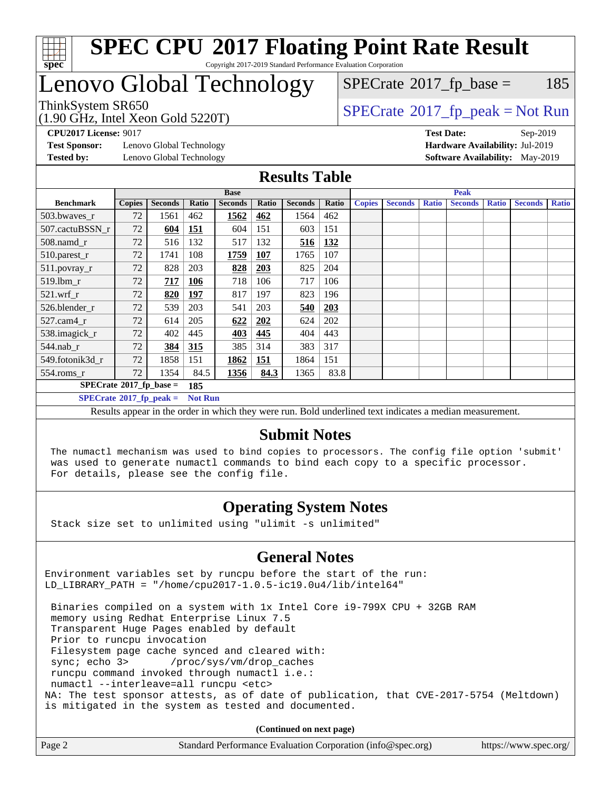

# Lenovo Global Technology

 $SPECTate$ <sup>®</sup>[2017\\_fp\\_base =](http://www.spec.org/auto/cpu2017/Docs/result-fields.html#SPECrate2017fpbase) 185

(1.90 GHz, Intel Xeon Gold 5220T)

 $SPECTate@2017_fp\_peak = Not Run$ 

**[Test Sponsor:](http://www.spec.org/auto/cpu2017/Docs/result-fields.html#TestSponsor)** Lenovo Global Technology **[Hardware Availability:](http://www.spec.org/auto/cpu2017/Docs/result-fields.html#HardwareAvailability)** Jul-2019 **[Tested by:](http://www.spec.org/auto/cpu2017/Docs/result-fields.html#Testedby)** Lenovo Global Technology **[Software Availability:](http://www.spec.org/auto/cpu2017/Docs/result-fields.html#SoftwareAvailability)** May-2019

**[CPU2017 License:](http://www.spec.org/auto/cpu2017/Docs/result-fields.html#CPU2017License)** 9017 **[Test Date:](http://www.spec.org/auto/cpu2017/Docs/result-fields.html#TestDate)** Sep-2019

#### **[Results Table](http://www.spec.org/auto/cpu2017/Docs/result-fields.html#ResultsTable)**

|                                        | <b>Base</b>                      |                |            |                |       |                | <b>Peak</b> |               |                |              |                |              |                |              |
|----------------------------------------|----------------------------------|----------------|------------|----------------|-------|----------------|-------------|---------------|----------------|--------------|----------------|--------------|----------------|--------------|
| <b>Benchmark</b>                       | <b>Copies</b>                    | <b>Seconds</b> | Ratio      | <b>Seconds</b> | Ratio | <b>Seconds</b> | Ratio       | <b>Copies</b> | <b>Seconds</b> | <b>Ratio</b> | <b>Seconds</b> | <b>Ratio</b> | <b>Seconds</b> | <b>Ratio</b> |
| 503.bwaves_r                           | 72                               | 1561           | 462        | 1562           | 462   | 1564           | 462         |               |                |              |                |              |                |              |
| 507.cactuBSSN r                        | 72                               | 604            | <b>151</b> | 604            | 151   | 603            | 151         |               |                |              |                |              |                |              |
| $508$ .namd $r$                        | 72                               | 516            | 132        | 517            | 132   | 516            | 132         |               |                |              |                |              |                |              |
| 510.parest_r                           | 72                               | 1741           | 108        | 1759           | 107   | 1765           | 107         |               |                |              |                |              |                |              |
| 511.povray_r                           | 72                               | 828            | 203        | 828            | 203   | 825            | 204         |               |                |              |                |              |                |              |
| 519.lbm r                              | 72                               | 717            | 106        | 718            | 106   | 717            | 106         |               |                |              |                |              |                |              |
| $521.wrf$ r                            | 72                               | 820            | 197        | 817            | 197   | 823            | 196         |               |                |              |                |              |                |              |
| 526.blender r                          | 72                               | 539            | 203        | 541            | 203   | 540            | 203         |               |                |              |                |              |                |              |
| $527$ .cam $4r$                        | 72                               | 614            | 205        | 622            | 202   | 624            | 202         |               |                |              |                |              |                |              |
| 538.imagick_r                          | 72                               | 402            | 445        | 403            | 445   | 404            | 443         |               |                |              |                |              |                |              |
| $544$ .nab r                           | 72                               | 384            | 315        | 385            | 314   | 383            | 317         |               |                |              |                |              |                |              |
| 549.fotonik3d r                        | 72                               | 1858           | 151        | 1862           | 151   | 1864           | 151         |               |                |              |                |              |                |              |
| $554$ .roms_r                          | 72                               | 1354           | 84.5       | 1356           | 84.3  | 1365           | 83.8        |               |                |              |                |              |                |              |
| $SPECrate$ <sup>®</sup> 2017_fp_base = |                                  |                | 185        |                |       |                |             |               |                |              |                |              |                |              |
|                                        | $SPECrate^{\circ}2017$ fp peak = |                |            |                |       |                |             |               |                |              |                |              |                |              |

Results appear in the [order in which they were run.](http://www.spec.org/auto/cpu2017/Docs/result-fields.html#RunOrder) Bold underlined text [indicates a median measurement.](http://www.spec.org/auto/cpu2017/Docs/result-fields.html#Median)

#### **[Submit Notes](http://www.spec.org/auto/cpu2017/Docs/result-fields.html#SubmitNotes)**

 The numactl mechanism was used to bind copies to processors. The config file option 'submit' was used to generate numactl commands to bind each copy to a specific processor. For details, please see the config file.

### **[Operating System Notes](http://www.spec.org/auto/cpu2017/Docs/result-fields.html#OperatingSystemNotes)**

Stack size set to unlimited using "ulimit -s unlimited"

### **[General Notes](http://www.spec.org/auto/cpu2017/Docs/result-fields.html#GeneralNotes)**

Environment variables set by runcpu before the start of the run: LD\_LIBRARY\_PATH = "/home/cpu2017-1.0.5-ic19.0u4/lib/intel64"

 Binaries compiled on a system with 1x Intel Core i9-799X CPU + 32GB RAM memory using Redhat Enterprise Linux 7.5 Transparent Huge Pages enabled by default Prior to runcpu invocation Filesystem page cache synced and cleared with: sync; echo 3> /proc/sys/vm/drop\_caches runcpu command invoked through numactl i.e.: numactl --interleave=all runcpu <etc> NA: The test sponsor attests, as of date of publication, that CVE-2017-5754 (Meltdown) is mitigated in the system as tested and documented.

**(Continued on next page)**

| Page 2<br>Standard Performance Evaluation Corporation (info@spec.org)<br>https://www.spec.org/ |
|------------------------------------------------------------------------------------------------|
|------------------------------------------------------------------------------------------------|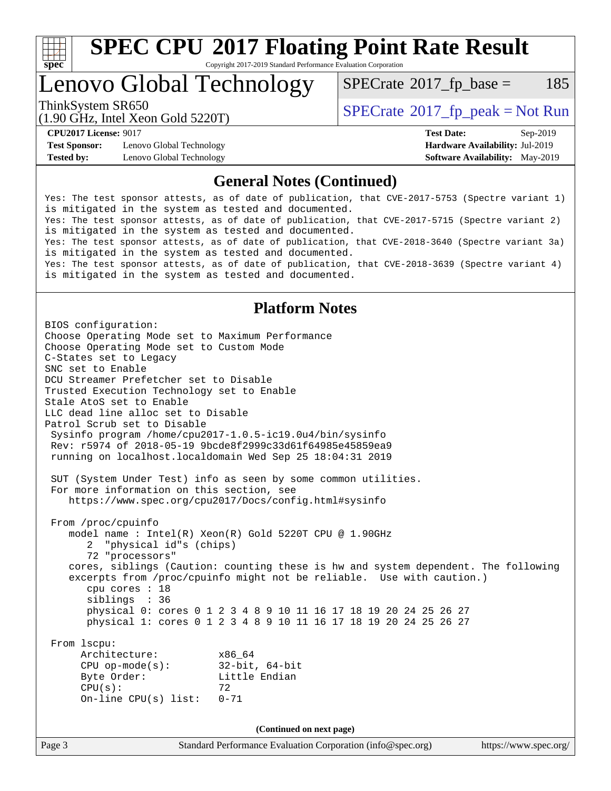

# **[SPEC CPU](http://www.spec.org/auto/cpu2017/Docs/result-fields.html#SPECCPU2017FloatingPointRateResult)[2017 Floating Point Rate Result](http://www.spec.org/auto/cpu2017/Docs/result-fields.html#SPECCPU2017FloatingPointRateResult)**

Copyright 2017-2019 Standard Performance Evaluation Corporation

# Lenovo Global Technology

 $SPECTate$ <sup>®</sup>[2017\\_fp\\_base =](http://www.spec.org/auto/cpu2017/Docs/result-fields.html#SPECrate2017fpbase) 185

(1.90 GHz, Intel Xeon Gold 5220T)

ThinkSystem SR650<br>(1.00 CHz, Intel Year Gald 5220T)  $\begin{array}{c} \text{SPECrate} \textcircled{2017} \text{ fp\_peak} = \text{Not Run} \end{array}$  $\begin{array}{c} \text{SPECrate} \textcircled{2017} \text{ fp\_peak} = \text{Not Run} \end{array}$  $\begin{array}{c} \text{SPECrate} \textcircled{2017} \text{ fp\_peak} = \text{Not Run} \end{array}$ 

**[Test Sponsor:](http://www.spec.org/auto/cpu2017/Docs/result-fields.html#TestSponsor)** Lenovo Global Technology **[Hardware Availability:](http://www.spec.org/auto/cpu2017/Docs/result-fields.html#HardwareAvailability)** Jul-2019 **[Tested by:](http://www.spec.org/auto/cpu2017/Docs/result-fields.html#Testedby)** Lenovo Global Technology **[Software Availability:](http://www.spec.org/auto/cpu2017/Docs/result-fields.html#SoftwareAvailability)** May-2019

**[CPU2017 License:](http://www.spec.org/auto/cpu2017/Docs/result-fields.html#CPU2017License)** 9017 **[Test Date:](http://www.spec.org/auto/cpu2017/Docs/result-fields.html#TestDate)** Sep-2019

#### **[General Notes \(Continued\)](http://www.spec.org/auto/cpu2017/Docs/result-fields.html#GeneralNotes)**

Yes: The test sponsor attests, as of date of publication, that CVE-2017-5753 (Spectre variant 1) is mitigated in the system as tested and documented. Yes: The test sponsor attests, as of date of publication, that CVE-2017-5715 (Spectre variant 2) is mitigated in the system as tested and documented. Yes: The test sponsor attests, as of date of publication, that CVE-2018-3640 (Spectre variant 3a) is mitigated in the system as tested and documented. Yes: The test sponsor attests, as of date of publication, that CVE-2018-3639 (Spectre variant 4) is mitigated in the system as tested and documented.

#### **[Platform Notes](http://www.spec.org/auto/cpu2017/Docs/result-fields.html#PlatformNotes)**

Page 3 Standard Performance Evaluation Corporation [\(info@spec.org\)](mailto:info@spec.org) <https://www.spec.org/> BIOS configuration: Choose Operating Mode set to Maximum Performance Choose Operating Mode set to Custom Mode C-States set to Legacy SNC set to Enable DCU Streamer Prefetcher set to Disable Trusted Execution Technology set to Enable Stale AtoS set to Enable LLC dead line alloc set to Disable Patrol Scrub set to Disable Sysinfo program /home/cpu2017-1.0.5-ic19.0u4/bin/sysinfo Rev: r5974 of 2018-05-19 9bcde8f2999c33d61f64985e45859ea9 running on localhost.localdomain Wed Sep 25 18:04:31 2019 SUT (System Under Test) info as seen by some common utilities. For more information on this section, see <https://www.spec.org/cpu2017/Docs/config.html#sysinfo> From /proc/cpuinfo model name : Intel(R) Xeon(R) Gold 5220T CPU @ 1.90GHz 2 "physical id"s (chips) 72 "processors" cores, siblings (Caution: counting these is hw and system dependent. The following excerpts from /proc/cpuinfo might not be reliable. Use with caution.) cpu cores : 18 siblings : 36 physical 0: cores 0 1 2 3 4 8 9 10 11 16 17 18 19 20 24 25 26 27 physical 1: cores 0 1 2 3 4 8 9 10 11 16 17 18 19 20 24 25 26 27 From lscpu: Architecture: x86\_64 CPU op-mode(s): 32-bit, 64-bit Byte Order: Little Endian  $CPU(s):$  72 On-line CPU(s) list: 0-71 **(Continued on next page)**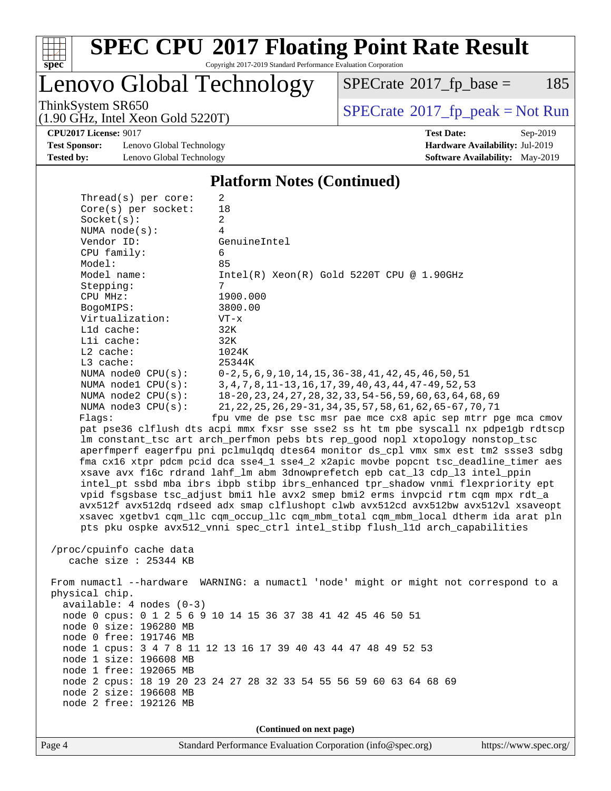

# **[SPEC CPU](http://www.spec.org/auto/cpu2017/Docs/result-fields.html#SPECCPU2017FloatingPointRateResult)[2017 Floating Point Rate Result](http://www.spec.org/auto/cpu2017/Docs/result-fields.html#SPECCPU2017FloatingPointRateResult)**

Copyright 2017-2019 Standard Performance Evaluation Corporation

Lenovo Global Technology

 $SPECTate@2017_fp\_base = 185$ 

(1.90 GHz, Intel Xeon Gold 5220T)

ThinkSystem SR650<br>(1.90 GHz, Intel Xeon Gold 5220T) [SPECrate](http://www.spec.org/auto/cpu2017/Docs/result-fields.html#SPECrate2017fppeak)®[2017\\_fp\\_peak = N](http://www.spec.org/auto/cpu2017/Docs/result-fields.html#SPECrate2017fppeak)ot Run

**[Test Sponsor:](http://www.spec.org/auto/cpu2017/Docs/result-fields.html#TestSponsor)** Lenovo Global Technology **[Hardware Availability:](http://www.spec.org/auto/cpu2017/Docs/result-fields.html#HardwareAvailability)** Jul-2019 **[Tested by:](http://www.spec.org/auto/cpu2017/Docs/result-fields.html#Testedby)** Lenovo Global Technology **[Software Availability:](http://www.spec.org/auto/cpu2017/Docs/result-fields.html#SoftwareAvailability)** May-2019

**[CPU2017 License:](http://www.spec.org/auto/cpu2017/Docs/result-fields.html#CPU2017License)** 9017 **[Test Date:](http://www.spec.org/auto/cpu2017/Docs/result-fields.html#TestDate)** Sep-2019

#### **[Platform Notes \(Continued\)](http://www.spec.org/auto/cpu2017/Docs/result-fields.html#PlatformNotes)**

| Socket(s):<br>NUMA $node(s):$ | 2<br>4                                                                                                                                               |
|-------------------------------|------------------------------------------------------------------------------------------------------------------------------------------------------|
| Vendor ID:                    | GenuineIntel                                                                                                                                         |
| CPU family:                   | 6                                                                                                                                                    |
| Model:                        | 85                                                                                                                                                   |
| Model name:                   | $Intel(R) Xeon(R) Gold 5220T CPU @ 1.90GHz$                                                                                                          |
| Stepping:                     | 7                                                                                                                                                    |
| CPU MHz:                      | 1900.000                                                                                                                                             |
| BogoMIPS:                     | 3800.00                                                                                                                                              |
| Virtualization:               | $VT - x$                                                                                                                                             |
| L1d cache:                    | 32K                                                                                                                                                  |
| Lli cache:                    | 32K                                                                                                                                                  |
| $L2$ cache:                   | 1024K                                                                                                                                                |
| L3 cache:                     | 25344K                                                                                                                                               |
| NUMA node0 CPU(s):            | $0-2, 5, 6, 9, 10, 14, 15, 36-38, 41, 42, 45, 46, 50, 51$                                                                                            |
| NUMA nodel CPU(s):            | 3, 4, 7, 8, 11-13, 16, 17, 39, 40, 43, 44, 47-49, 52, 53                                                                                             |
| NUMA node2 CPU(s):            | 18-20, 23, 24, 27, 28, 32, 33, 54-56, 59, 60, 63, 64, 68, 69                                                                                         |
| NUMA node3 CPU(s):<br>Flags:  | 21, 22, 25, 26, 29-31, 34, 35, 57, 58, 61, 62, 65-67, 70, 71                                                                                         |
|                               | fpu vme de pse tsc msr pae mce cx8 apic sep mtrr pge mca cmov<br>pat pse36 clflush dts acpi mmx fxsr sse sse2 ss ht tm pbe syscall nx pdpelgb rdtscp |
|                               | lm constant_tsc art arch_perfmon pebs bts rep_good nopl xtopology nonstop_tsc                                                                        |
|                               | aperfmperf eagerfpu pni pclmulqdq dtes64 monitor ds_cpl vmx smx est tm2 ssse3 sdbg                                                                   |
|                               | fma cx16 xtpr pdcm pcid dca sse4_1 sse4_2 x2apic movbe popcnt tsc_deadline_timer aes                                                                 |
|                               | xsave avx f16c rdrand lahf_lm abm 3dnowprefetch epb cat_13 cdp_13 intel_ppin                                                                         |
|                               | intel_pt ssbd mba ibrs ibpb stibp ibrs_enhanced tpr_shadow vnmi flexpriority ept                                                                     |
|                               | vpid fsgsbase tsc_adjust bmil hle avx2 smep bmi2 erms invpcid rtm cqm mpx rdt_a                                                                      |
|                               | avx512f avx512dq rdseed adx smap clflushopt clwb avx512cd avx512bw avx512vl xsaveopt                                                                 |
|                               | xsavec xgetbv1 cqm_llc cqm_occup_llc cqm_mbm_total cqm_mbm_local dtherm ida arat pln                                                                 |
|                               | pts pku ospke avx512_vnni spec_ctrl intel_stibp flush_lld arch_capabilities                                                                          |
|                               |                                                                                                                                                      |
| /proc/cpuinfo cache data      |                                                                                                                                                      |
| cache size $: 25344$ KB       |                                                                                                                                                      |
|                               |                                                                                                                                                      |
| physical chip.                | From numactl --hardware WARNING: a numactl 'node' might or might not correspond to a                                                                 |
| $available: 4 nodes (0-3)$    |                                                                                                                                                      |
|                               | node 0 cpus: 0 1 2 5 6 9 10 14 15 36 37 38 41 42 45 46 50 51                                                                                         |
| node 0 size: 196280 MB        |                                                                                                                                                      |
| node 0 free: 191746 MB        |                                                                                                                                                      |
|                               | node 1 cpus: 3 4 7 8 11 12 13 16 17 39 40 43 44 47 48 49 52 53                                                                                       |
| node 1 size: 196608 MB        |                                                                                                                                                      |
| node 1 free: 192065 MB        |                                                                                                                                                      |
|                               | node 2 cpus: 18 19 20 23 24 27 28 32 33 54 55 56 59 60 63 64 68 69                                                                                   |
| node 2 size: 196608 MB        |                                                                                                                                                      |
| node 2 free: 192126 MB        |                                                                                                                                                      |
|                               |                                                                                                                                                      |
|                               |                                                                                                                                                      |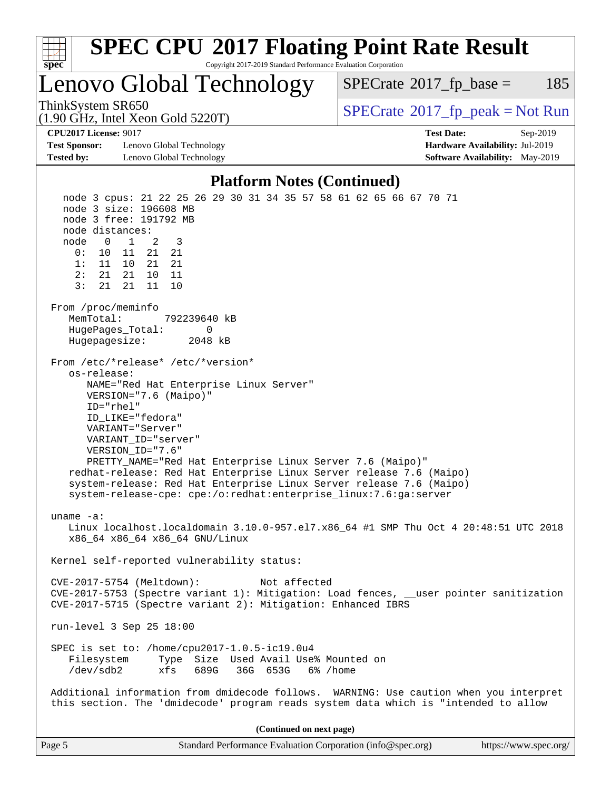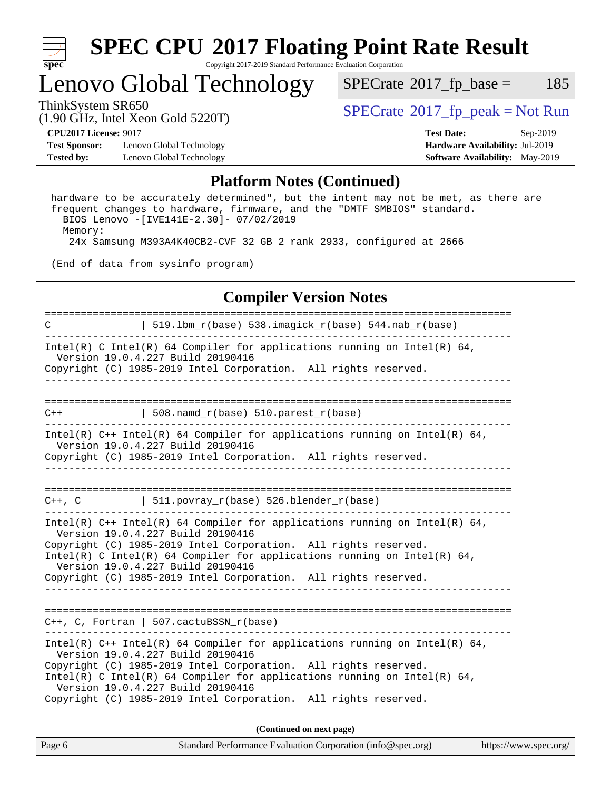

### Lenovo Global Technology

 $SPECTate@2017_fp\_base = 185$ 

ThinkSystem SR650<br>(1.00 GHz, Intel Year Gold 5220T) [SPECrate](http://www.spec.org/auto/cpu2017/Docs/result-fields.html#SPECrate2017fppeak)®[2017\\_fp\\_peak = N](http://www.spec.org/auto/cpu2017/Docs/result-fields.html#SPECrate2017fppeak)ot Run

**[Test Sponsor:](http://www.spec.org/auto/cpu2017/Docs/result-fields.html#TestSponsor)** Lenovo Global Technology **[Hardware Availability:](http://www.spec.org/auto/cpu2017/Docs/result-fields.html#HardwareAvailability)** Jul-2019 **[Tested by:](http://www.spec.org/auto/cpu2017/Docs/result-fields.html#Testedby)** Lenovo Global Technology **[Software Availability:](http://www.spec.org/auto/cpu2017/Docs/result-fields.html#SoftwareAvailability)** May-2019

(1.90 GHz, Intel Xeon Gold 5220T)

**[CPU2017 License:](http://www.spec.org/auto/cpu2017/Docs/result-fields.html#CPU2017License)** 9017 **[Test Date:](http://www.spec.org/auto/cpu2017/Docs/result-fields.html#TestDate)** Sep-2019

#### **[Platform Notes \(Continued\)](http://www.spec.org/auto/cpu2017/Docs/result-fields.html#PlatformNotes)**

 hardware to be accurately determined", but the intent may not be met, as there are frequent changes to hardware, firmware, and the "DMTF SMBIOS" standard. BIOS Lenovo -[IVE141E-2.30]- 07/02/2019 Memory: 24x Samsung M393A4K40CB2-CVF 32 GB 2 rank 2933, configured at 2666

(End of data from sysinfo program)

#### **[Compiler Version Notes](http://www.spec.org/auto/cpu2017/Docs/result-fields.html#CompilerVersionNotes)**

| 519.1bm_r(base) 538.imagick_r(base) 544.nab_r(base)<br>C<br>-------------<br>----------------                                                                                                                                                                                                                                                                            |  |  |  |  |  |  |  |
|--------------------------------------------------------------------------------------------------------------------------------------------------------------------------------------------------------------------------------------------------------------------------------------------------------------------------------------------------------------------------|--|--|--|--|--|--|--|
| Intel(R) C Intel(R) 64 Compiler for applications running on Intel(R) 64,<br>Version 19.0.4.227 Build 20190416<br>Copyright (C) 1985-2019 Intel Corporation. All rights reserved.                                                                                                                                                                                         |  |  |  |  |  |  |  |
|                                                                                                                                                                                                                                                                                                                                                                          |  |  |  |  |  |  |  |
| $\vert$ 508.namd_r(base) 510.parest_r(base)<br>$C++$                                                                                                                                                                                                                                                                                                                     |  |  |  |  |  |  |  |
| Intel(R) $C++$ Intel(R) 64 Compiler for applications running on Intel(R) 64,<br>Version 19.0.4.227 Build 20190416<br>Copyright (C) 1985-2019 Intel Corporation. All rights reserved.                                                                                                                                                                                     |  |  |  |  |  |  |  |
| $C++$ , C $\vert$ 511.povray_r(base) 526.blender_r(base)                                                                                                                                                                                                                                                                                                                 |  |  |  |  |  |  |  |
| Intel(R) $C++$ Intel(R) 64 Compiler for applications running on Intel(R) 64,<br>Version 19.0.4.227 Build 20190416<br>Copyright (C) 1985-2019 Intel Corporation. All rights reserved.<br>Intel(R) C Intel(R) 64 Compiler for applications running on Intel(R) 64,<br>Version 19.0.4.227 Build 20190416<br>Copyright (C) 1985-2019 Intel Corporation. All rights reserved. |  |  |  |  |  |  |  |
| $C++$ , C, Fortran   507.cactuBSSN_r(base)                                                                                                                                                                                                                                                                                                                               |  |  |  |  |  |  |  |
| Intel(R) $C++$ Intel(R) 64 Compiler for applications running on Intel(R) 64,<br>Version 19.0.4.227 Build 20190416<br>Copyright (C) 1985-2019 Intel Corporation. All rights reserved.<br>Intel(R) C Intel(R) 64 Compiler for applications running on Intel(R) 64,<br>Version 19.0.4.227 Build 20190416<br>Copyright (C) 1985-2019 Intel Corporation. All rights reserved. |  |  |  |  |  |  |  |
| (Continued on next page)                                                                                                                                                                                                                                                                                                                                                 |  |  |  |  |  |  |  |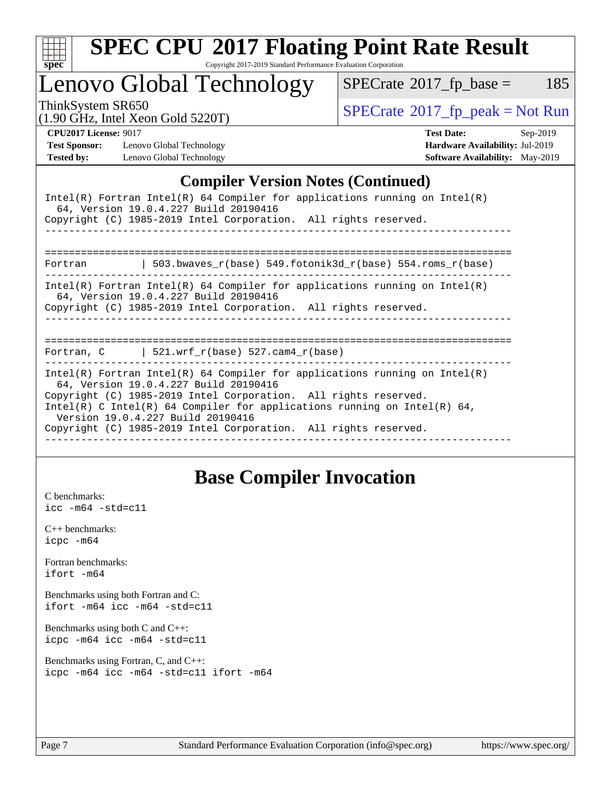

# **[SPEC CPU](http://www.spec.org/auto/cpu2017/Docs/result-fields.html#SPECCPU2017FloatingPointRateResult)[2017 Floating Point Rate Result](http://www.spec.org/auto/cpu2017/Docs/result-fields.html#SPECCPU2017FloatingPointRateResult)**

Copyright 2017-2019 Standard Performance Evaluation Corporation

Lenovo Global Technology

 $SPECTate@2017_fp\_base = 185$ 

(1.90 GHz, Intel Xeon Gold 5220T)

ThinkSystem SR650<br>(1.00 GHz, Intel Year Gold 5220T) [SPECrate](http://www.spec.org/auto/cpu2017/Docs/result-fields.html#SPECrate2017fppeak)®[2017\\_fp\\_peak = N](http://www.spec.org/auto/cpu2017/Docs/result-fields.html#SPECrate2017fppeak)ot Run

**[Test Sponsor:](http://www.spec.org/auto/cpu2017/Docs/result-fields.html#TestSponsor)** Lenovo Global Technology **[Hardware Availability:](http://www.spec.org/auto/cpu2017/Docs/result-fields.html#HardwareAvailability)** Jul-2019 **[Tested by:](http://www.spec.org/auto/cpu2017/Docs/result-fields.html#Testedby)** Lenovo Global Technology **[Software Availability:](http://www.spec.org/auto/cpu2017/Docs/result-fields.html#SoftwareAvailability)** May-2019

**[CPU2017 License:](http://www.spec.org/auto/cpu2017/Docs/result-fields.html#CPU2017License)** 9017 **[Test Date:](http://www.spec.org/auto/cpu2017/Docs/result-fields.html#TestDate)** Sep-2019

#### **[Compiler Version Notes \(Continued\)](http://www.spec.org/auto/cpu2017/Docs/result-fields.html#CompilerVersionNotes)**

| Intel(R) Fortran Intel(R) 64 Compiler for applications running on Intel(R)<br>64, Version 19.0.4.227 Build 20190416<br>Copyright (C) 1985-2019 Intel Corporation. All rights reserved.                                                                                                                                                                                     |
|----------------------------------------------------------------------------------------------------------------------------------------------------------------------------------------------------------------------------------------------------------------------------------------------------------------------------------------------------------------------------|
|                                                                                                                                                                                                                                                                                                                                                                            |
| 503.bwaves $r(base)$ 549.fotonik3d $r(base)$ 554.roms $r(base)$<br>Fortran                                                                                                                                                                                                                                                                                                 |
| $Intel(R)$ Fortran Intel(R) 64 Compiler for applications running on Intel(R)<br>64, Version 19.0.4.227 Build 20190416<br>Copyright (C) 1985-2019 Intel Corporation. All rights reserved.                                                                                                                                                                                   |
| Fortran, $C$   521.wrf_r(base) 527.cam4_r(base)                                                                                                                                                                                                                                                                                                                            |
|                                                                                                                                                                                                                                                                                                                                                                            |
| Intel(R) Fortran Intel(R) 64 Compiler for applications running on Intel(R)<br>64, Version 19.0.4.227 Build 20190416<br>Copyright (C) 1985-2019 Intel Corporation. All rights reserved.<br>Intel(R) C Intel(R) 64 Compiler for applications running on Intel(R) 64,<br>Version 19.0.4.227 Build 20190416<br>Copyright (C) 1985-2019 Intel Corporation. All rights reserved. |

### **[Base Compiler Invocation](http://www.spec.org/auto/cpu2017/Docs/result-fields.html#BaseCompilerInvocation)**

[C benchmarks](http://www.spec.org/auto/cpu2017/Docs/result-fields.html#Cbenchmarks): [icc -m64 -std=c11](http://www.spec.org/cpu2017/results/res2019q4/cpu2017-20190926-18691.flags.html#user_CCbase_intel_icc_64bit_c11_33ee0cdaae7deeeab2a9725423ba97205ce30f63b9926c2519791662299b76a0318f32ddfffdc46587804de3178b4f9328c46fa7c2b0cd779d7a61945c91cd35)

[C++ benchmarks:](http://www.spec.org/auto/cpu2017/Docs/result-fields.html#CXXbenchmarks) [icpc -m64](http://www.spec.org/cpu2017/results/res2019q4/cpu2017-20190926-18691.flags.html#user_CXXbase_intel_icpc_64bit_4ecb2543ae3f1412ef961e0650ca070fec7b7afdcd6ed48761b84423119d1bf6bdf5cad15b44d48e7256388bc77273b966e5eb805aefd121eb22e9299b2ec9d9)

[Fortran benchmarks](http://www.spec.org/auto/cpu2017/Docs/result-fields.html#Fortranbenchmarks): [ifort -m64](http://www.spec.org/cpu2017/results/res2019q4/cpu2017-20190926-18691.flags.html#user_FCbase_intel_ifort_64bit_24f2bb282fbaeffd6157abe4f878425411749daecae9a33200eee2bee2fe76f3b89351d69a8130dd5949958ce389cf37ff59a95e7a40d588e8d3a57e0c3fd751)

[Benchmarks using both Fortran and C](http://www.spec.org/auto/cpu2017/Docs/result-fields.html#BenchmarksusingbothFortranandC): [ifort -m64](http://www.spec.org/cpu2017/results/res2019q4/cpu2017-20190926-18691.flags.html#user_CC_FCbase_intel_ifort_64bit_24f2bb282fbaeffd6157abe4f878425411749daecae9a33200eee2bee2fe76f3b89351d69a8130dd5949958ce389cf37ff59a95e7a40d588e8d3a57e0c3fd751) [icc -m64 -std=c11](http://www.spec.org/cpu2017/results/res2019q4/cpu2017-20190926-18691.flags.html#user_CC_FCbase_intel_icc_64bit_c11_33ee0cdaae7deeeab2a9725423ba97205ce30f63b9926c2519791662299b76a0318f32ddfffdc46587804de3178b4f9328c46fa7c2b0cd779d7a61945c91cd35)

[Benchmarks using both C and C++](http://www.spec.org/auto/cpu2017/Docs/result-fields.html#BenchmarksusingbothCandCXX): [icpc -m64](http://www.spec.org/cpu2017/results/res2019q4/cpu2017-20190926-18691.flags.html#user_CC_CXXbase_intel_icpc_64bit_4ecb2543ae3f1412ef961e0650ca070fec7b7afdcd6ed48761b84423119d1bf6bdf5cad15b44d48e7256388bc77273b966e5eb805aefd121eb22e9299b2ec9d9) [icc -m64 -std=c11](http://www.spec.org/cpu2017/results/res2019q4/cpu2017-20190926-18691.flags.html#user_CC_CXXbase_intel_icc_64bit_c11_33ee0cdaae7deeeab2a9725423ba97205ce30f63b9926c2519791662299b76a0318f32ddfffdc46587804de3178b4f9328c46fa7c2b0cd779d7a61945c91cd35)

[Benchmarks using Fortran, C, and C++:](http://www.spec.org/auto/cpu2017/Docs/result-fields.html#BenchmarksusingFortranCandCXX) [icpc -m64](http://www.spec.org/cpu2017/results/res2019q4/cpu2017-20190926-18691.flags.html#user_CC_CXX_FCbase_intel_icpc_64bit_4ecb2543ae3f1412ef961e0650ca070fec7b7afdcd6ed48761b84423119d1bf6bdf5cad15b44d48e7256388bc77273b966e5eb805aefd121eb22e9299b2ec9d9) [icc -m64 -std=c11](http://www.spec.org/cpu2017/results/res2019q4/cpu2017-20190926-18691.flags.html#user_CC_CXX_FCbase_intel_icc_64bit_c11_33ee0cdaae7deeeab2a9725423ba97205ce30f63b9926c2519791662299b76a0318f32ddfffdc46587804de3178b4f9328c46fa7c2b0cd779d7a61945c91cd35) [ifort -m64](http://www.spec.org/cpu2017/results/res2019q4/cpu2017-20190926-18691.flags.html#user_CC_CXX_FCbase_intel_ifort_64bit_24f2bb282fbaeffd6157abe4f878425411749daecae9a33200eee2bee2fe76f3b89351d69a8130dd5949958ce389cf37ff59a95e7a40d588e8d3a57e0c3fd751)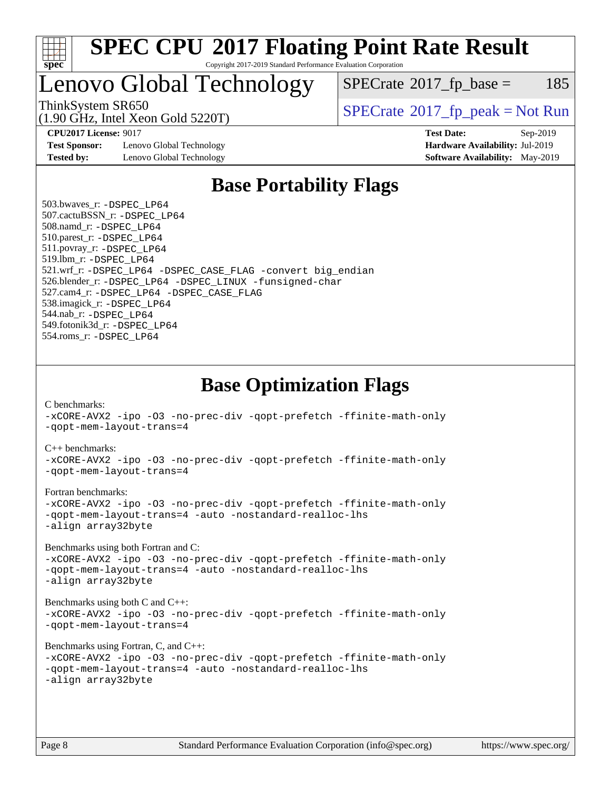

## Lenovo Global Technology

 $SPECTate$ <sup>®</sup>[2017\\_fp\\_base =](http://www.spec.org/auto/cpu2017/Docs/result-fields.html#SPECrate2017fpbase) 185

(1.90 GHz, Intel Xeon Gold 5220T)

ThinkSystem SR650<br>(1.00 CHz, Intel Year Gald 5220T)  $SPECrate@2017_fp\_peak = Not Run$  $SPECrate@2017_fp\_peak = Not Run$ 

**[Test Sponsor:](http://www.spec.org/auto/cpu2017/Docs/result-fields.html#TestSponsor)** Lenovo Global Technology **[Hardware Availability:](http://www.spec.org/auto/cpu2017/Docs/result-fields.html#HardwareAvailability)** Jul-2019 **[Tested by:](http://www.spec.org/auto/cpu2017/Docs/result-fields.html#Testedby)** Lenovo Global Technology **[Software Availability:](http://www.spec.org/auto/cpu2017/Docs/result-fields.html#SoftwareAvailability)** May-2019

**[CPU2017 License:](http://www.spec.org/auto/cpu2017/Docs/result-fields.html#CPU2017License)** 9017 **[Test Date:](http://www.spec.org/auto/cpu2017/Docs/result-fields.html#TestDate)** Sep-2019

### **[Base Portability Flags](http://www.spec.org/auto/cpu2017/Docs/result-fields.html#BasePortabilityFlags)**

 503.bwaves\_r: [-DSPEC\\_LP64](http://www.spec.org/cpu2017/results/res2019q4/cpu2017-20190926-18691.flags.html#suite_basePORTABILITY503_bwaves_r_DSPEC_LP64) 507.cactuBSSN\_r: [-DSPEC\\_LP64](http://www.spec.org/cpu2017/results/res2019q4/cpu2017-20190926-18691.flags.html#suite_basePORTABILITY507_cactuBSSN_r_DSPEC_LP64) 508.namd\_r: [-DSPEC\\_LP64](http://www.spec.org/cpu2017/results/res2019q4/cpu2017-20190926-18691.flags.html#suite_basePORTABILITY508_namd_r_DSPEC_LP64) 510.parest\_r: [-DSPEC\\_LP64](http://www.spec.org/cpu2017/results/res2019q4/cpu2017-20190926-18691.flags.html#suite_basePORTABILITY510_parest_r_DSPEC_LP64) 511.povray\_r: [-DSPEC\\_LP64](http://www.spec.org/cpu2017/results/res2019q4/cpu2017-20190926-18691.flags.html#suite_basePORTABILITY511_povray_r_DSPEC_LP64) 519.lbm\_r: [-DSPEC\\_LP64](http://www.spec.org/cpu2017/results/res2019q4/cpu2017-20190926-18691.flags.html#suite_basePORTABILITY519_lbm_r_DSPEC_LP64) 521.wrf\_r: [-DSPEC\\_LP64](http://www.spec.org/cpu2017/results/res2019q4/cpu2017-20190926-18691.flags.html#suite_basePORTABILITY521_wrf_r_DSPEC_LP64) [-DSPEC\\_CASE\\_FLAG](http://www.spec.org/cpu2017/results/res2019q4/cpu2017-20190926-18691.flags.html#b521.wrf_r_baseCPORTABILITY_DSPEC_CASE_FLAG) [-convert big\\_endian](http://www.spec.org/cpu2017/results/res2019q4/cpu2017-20190926-18691.flags.html#user_baseFPORTABILITY521_wrf_r_convert_big_endian_c3194028bc08c63ac5d04de18c48ce6d347e4e562e8892b8bdbdc0214820426deb8554edfa529a3fb25a586e65a3d812c835984020483e7e73212c4d31a38223) 526.blender\_r: [-DSPEC\\_LP64](http://www.spec.org/cpu2017/results/res2019q4/cpu2017-20190926-18691.flags.html#suite_basePORTABILITY526_blender_r_DSPEC_LP64) [-DSPEC\\_LINUX](http://www.spec.org/cpu2017/results/res2019q4/cpu2017-20190926-18691.flags.html#b526.blender_r_baseCPORTABILITY_DSPEC_LINUX) [-funsigned-char](http://www.spec.org/cpu2017/results/res2019q4/cpu2017-20190926-18691.flags.html#user_baseCPORTABILITY526_blender_r_force_uchar_40c60f00ab013830e2dd6774aeded3ff59883ba5a1fc5fc14077f794d777847726e2a5858cbc7672e36e1b067e7e5c1d9a74f7176df07886a243d7cc18edfe67) 527.cam4\_r: [-DSPEC\\_LP64](http://www.spec.org/cpu2017/results/res2019q4/cpu2017-20190926-18691.flags.html#suite_basePORTABILITY527_cam4_r_DSPEC_LP64) [-DSPEC\\_CASE\\_FLAG](http://www.spec.org/cpu2017/results/res2019q4/cpu2017-20190926-18691.flags.html#b527.cam4_r_baseCPORTABILITY_DSPEC_CASE_FLAG) 538.imagick\_r: [-DSPEC\\_LP64](http://www.spec.org/cpu2017/results/res2019q4/cpu2017-20190926-18691.flags.html#suite_basePORTABILITY538_imagick_r_DSPEC_LP64) 544.nab\_r: [-DSPEC\\_LP64](http://www.spec.org/cpu2017/results/res2019q4/cpu2017-20190926-18691.flags.html#suite_basePORTABILITY544_nab_r_DSPEC_LP64) 549.fotonik3d\_r: [-DSPEC\\_LP64](http://www.spec.org/cpu2017/results/res2019q4/cpu2017-20190926-18691.flags.html#suite_basePORTABILITY549_fotonik3d_r_DSPEC_LP64) 554.roms\_r: [-DSPEC\\_LP64](http://www.spec.org/cpu2017/results/res2019q4/cpu2017-20190926-18691.flags.html#suite_basePORTABILITY554_roms_r_DSPEC_LP64)

**[Base Optimization Flags](http://www.spec.org/auto/cpu2017/Docs/result-fields.html#BaseOptimizationFlags)**

[C benchmarks](http://www.spec.org/auto/cpu2017/Docs/result-fields.html#Cbenchmarks):

[-xCORE-AVX2](http://www.spec.org/cpu2017/results/res2019q4/cpu2017-20190926-18691.flags.html#user_CCbase_f-xCORE-AVX2) [-ipo](http://www.spec.org/cpu2017/results/res2019q4/cpu2017-20190926-18691.flags.html#user_CCbase_f-ipo) [-O3](http://www.spec.org/cpu2017/results/res2019q4/cpu2017-20190926-18691.flags.html#user_CCbase_f-O3) [-no-prec-div](http://www.spec.org/cpu2017/results/res2019q4/cpu2017-20190926-18691.flags.html#user_CCbase_f-no-prec-div) [-qopt-prefetch](http://www.spec.org/cpu2017/results/res2019q4/cpu2017-20190926-18691.flags.html#user_CCbase_f-qopt-prefetch) [-ffinite-math-only](http://www.spec.org/cpu2017/results/res2019q4/cpu2017-20190926-18691.flags.html#user_CCbase_f_finite_math_only_cb91587bd2077682c4b38af759c288ed7c732db004271a9512da14a4f8007909a5f1427ecbf1a0fb78ff2a814402c6114ac565ca162485bbcae155b5e4258871) [-qopt-mem-layout-trans=4](http://www.spec.org/cpu2017/results/res2019q4/cpu2017-20190926-18691.flags.html#user_CCbase_f-qopt-mem-layout-trans_fa39e755916c150a61361b7846f310bcdf6f04e385ef281cadf3647acec3f0ae266d1a1d22d972a7087a248fd4e6ca390a3634700869573d231a252c784941a8) [C++ benchmarks:](http://www.spec.org/auto/cpu2017/Docs/result-fields.html#CXXbenchmarks) [-xCORE-AVX2](http://www.spec.org/cpu2017/results/res2019q4/cpu2017-20190926-18691.flags.html#user_CXXbase_f-xCORE-AVX2) [-ipo](http://www.spec.org/cpu2017/results/res2019q4/cpu2017-20190926-18691.flags.html#user_CXXbase_f-ipo) [-O3](http://www.spec.org/cpu2017/results/res2019q4/cpu2017-20190926-18691.flags.html#user_CXXbase_f-O3) [-no-prec-div](http://www.spec.org/cpu2017/results/res2019q4/cpu2017-20190926-18691.flags.html#user_CXXbase_f-no-prec-div) [-qopt-prefetch](http://www.spec.org/cpu2017/results/res2019q4/cpu2017-20190926-18691.flags.html#user_CXXbase_f-qopt-prefetch) [-ffinite-math-only](http://www.spec.org/cpu2017/results/res2019q4/cpu2017-20190926-18691.flags.html#user_CXXbase_f_finite_math_only_cb91587bd2077682c4b38af759c288ed7c732db004271a9512da14a4f8007909a5f1427ecbf1a0fb78ff2a814402c6114ac565ca162485bbcae155b5e4258871) [-qopt-mem-layout-trans=4](http://www.spec.org/cpu2017/results/res2019q4/cpu2017-20190926-18691.flags.html#user_CXXbase_f-qopt-mem-layout-trans_fa39e755916c150a61361b7846f310bcdf6f04e385ef281cadf3647acec3f0ae266d1a1d22d972a7087a248fd4e6ca390a3634700869573d231a252c784941a8) [Fortran benchmarks](http://www.spec.org/auto/cpu2017/Docs/result-fields.html#Fortranbenchmarks): [-xCORE-AVX2](http://www.spec.org/cpu2017/results/res2019q4/cpu2017-20190926-18691.flags.html#user_FCbase_f-xCORE-AVX2) [-ipo](http://www.spec.org/cpu2017/results/res2019q4/cpu2017-20190926-18691.flags.html#user_FCbase_f-ipo) [-O3](http://www.spec.org/cpu2017/results/res2019q4/cpu2017-20190926-18691.flags.html#user_FCbase_f-O3) [-no-prec-div](http://www.spec.org/cpu2017/results/res2019q4/cpu2017-20190926-18691.flags.html#user_FCbase_f-no-prec-div) [-qopt-prefetch](http://www.spec.org/cpu2017/results/res2019q4/cpu2017-20190926-18691.flags.html#user_FCbase_f-qopt-prefetch) [-ffinite-math-only](http://www.spec.org/cpu2017/results/res2019q4/cpu2017-20190926-18691.flags.html#user_FCbase_f_finite_math_only_cb91587bd2077682c4b38af759c288ed7c732db004271a9512da14a4f8007909a5f1427ecbf1a0fb78ff2a814402c6114ac565ca162485bbcae155b5e4258871) [-qopt-mem-layout-trans=4](http://www.spec.org/cpu2017/results/res2019q4/cpu2017-20190926-18691.flags.html#user_FCbase_f-qopt-mem-layout-trans_fa39e755916c150a61361b7846f310bcdf6f04e385ef281cadf3647acec3f0ae266d1a1d22d972a7087a248fd4e6ca390a3634700869573d231a252c784941a8) [-auto](http://www.spec.org/cpu2017/results/res2019q4/cpu2017-20190926-18691.flags.html#user_FCbase_f-auto) [-nostandard-realloc-lhs](http://www.spec.org/cpu2017/results/res2019q4/cpu2017-20190926-18691.flags.html#user_FCbase_f_2003_std_realloc_82b4557e90729c0f113870c07e44d33d6f5a304b4f63d4c15d2d0f1fab99f5daaed73bdb9275d9ae411527f28b936061aa8b9c8f2d63842963b95c9dd6426b8a) [-align array32byte](http://www.spec.org/cpu2017/results/res2019q4/cpu2017-20190926-18691.flags.html#user_FCbase_align_array32byte_b982fe038af199962ba9a80c053b8342c548c85b40b8e86eb3cc33dee0d7986a4af373ac2d51c3f7cf710a18d62fdce2948f201cd044323541f22fc0fffc51b6) [Benchmarks using both Fortran and C](http://www.spec.org/auto/cpu2017/Docs/result-fields.html#BenchmarksusingbothFortranandC): [-xCORE-AVX2](http://www.spec.org/cpu2017/results/res2019q4/cpu2017-20190926-18691.flags.html#user_CC_FCbase_f-xCORE-AVX2) [-ipo](http://www.spec.org/cpu2017/results/res2019q4/cpu2017-20190926-18691.flags.html#user_CC_FCbase_f-ipo) [-O3](http://www.spec.org/cpu2017/results/res2019q4/cpu2017-20190926-18691.flags.html#user_CC_FCbase_f-O3) [-no-prec-div](http://www.spec.org/cpu2017/results/res2019q4/cpu2017-20190926-18691.flags.html#user_CC_FCbase_f-no-prec-div) [-qopt-prefetch](http://www.spec.org/cpu2017/results/res2019q4/cpu2017-20190926-18691.flags.html#user_CC_FCbase_f-qopt-prefetch) [-ffinite-math-only](http://www.spec.org/cpu2017/results/res2019q4/cpu2017-20190926-18691.flags.html#user_CC_FCbase_f_finite_math_only_cb91587bd2077682c4b38af759c288ed7c732db004271a9512da14a4f8007909a5f1427ecbf1a0fb78ff2a814402c6114ac565ca162485bbcae155b5e4258871) [-qopt-mem-layout-trans=4](http://www.spec.org/cpu2017/results/res2019q4/cpu2017-20190926-18691.flags.html#user_CC_FCbase_f-qopt-mem-layout-trans_fa39e755916c150a61361b7846f310bcdf6f04e385ef281cadf3647acec3f0ae266d1a1d22d972a7087a248fd4e6ca390a3634700869573d231a252c784941a8) [-auto](http://www.spec.org/cpu2017/results/res2019q4/cpu2017-20190926-18691.flags.html#user_CC_FCbase_f-auto) [-nostandard-realloc-lhs](http://www.spec.org/cpu2017/results/res2019q4/cpu2017-20190926-18691.flags.html#user_CC_FCbase_f_2003_std_realloc_82b4557e90729c0f113870c07e44d33d6f5a304b4f63d4c15d2d0f1fab99f5daaed73bdb9275d9ae411527f28b936061aa8b9c8f2d63842963b95c9dd6426b8a) [-align array32byte](http://www.spec.org/cpu2017/results/res2019q4/cpu2017-20190926-18691.flags.html#user_CC_FCbase_align_array32byte_b982fe038af199962ba9a80c053b8342c548c85b40b8e86eb3cc33dee0d7986a4af373ac2d51c3f7cf710a18d62fdce2948f201cd044323541f22fc0fffc51b6) [Benchmarks using both C and C++](http://www.spec.org/auto/cpu2017/Docs/result-fields.html#BenchmarksusingbothCandCXX): [-xCORE-AVX2](http://www.spec.org/cpu2017/results/res2019q4/cpu2017-20190926-18691.flags.html#user_CC_CXXbase_f-xCORE-AVX2) [-ipo](http://www.spec.org/cpu2017/results/res2019q4/cpu2017-20190926-18691.flags.html#user_CC_CXXbase_f-ipo) [-O3](http://www.spec.org/cpu2017/results/res2019q4/cpu2017-20190926-18691.flags.html#user_CC_CXXbase_f-O3) [-no-prec-div](http://www.spec.org/cpu2017/results/res2019q4/cpu2017-20190926-18691.flags.html#user_CC_CXXbase_f-no-prec-div) [-qopt-prefetch](http://www.spec.org/cpu2017/results/res2019q4/cpu2017-20190926-18691.flags.html#user_CC_CXXbase_f-qopt-prefetch) [-ffinite-math-only](http://www.spec.org/cpu2017/results/res2019q4/cpu2017-20190926-18691.flags.html#user_CC_CXXbase_f_finite_math_only_cb91587bd2077682c4b38af759c288ed7c732db004271a9512da14a4f8007909a5f1427ecbf1a0fb78ff2a814402c6114ac565ca162485bbcae155b5e4258871) [-qopt-mem-layout-trans=4](http://www.spec.org/cpu2017/results/res2019q4/cpu2017-20190926-18691.flags.html#user_CC_CXXbase_f-qopt-mem-layout-trans_fa39e755916c150a61361b7846f310bcdf6f04e385ef281cadf3647acec3f0ae266d1a1d22d972a7087a248fd4e6ca390a3634700869573d231a252c784941a8) [Benchmarks using Fortran, C, and C++:](http://www.spec.org/auto/cpu2017/Docs/result-fields.html#BenchmarksusingFortranCandCXX) [-xCORE-AVX2](http://www.spec.org/cpu2017/results/res2019q4/cpu2017-20190926-18691.flags.html#user_CC_CXX_FCbase_f-xCORE-AVX2) [-ipo](http://www.spec.org/cpu2017/results/res2019q4/cpu2017-20190926-18691.flags.html#user_CC_CXX_FCbase_f-ipo) [-O3](http://www.spec.org/cpu2017/results/res2019q4/cpu2017-20190926-18691.flags.html#user_CC_CXX_FCbase_f-O3) [-no-prec-div](http://www.spec.org/cpu2017/results/res2019q4/cpu2017-20190926-18691.flags.html#user_CC_CXX_FCbase_f-no-prec-div) [-qopt-prefetch](http://www.spec.org/cpu2017/results/res2019q4/cpu2017-20190926-18691.flags.html#user_CC_CXX_FCbase_f-qopt-prefetch) [-ffinite-math-only](http://www.spec.org/cpu2017/results/res2019q4/cpu2017-20190926-18691.flags.html#user_CC_CXX_FCbase_f_finite_math_only_cb91587bd2077682c4b38af759c288ed7c732db004271a9512da14a4f8007909a5f1427ecbf1a0fb78ff2a814402c6114ac565ca162485bbcae155b5e4258871) [-qopt-mem-layout-trans=4](http://www.spec.org/cpu2017/results/res2019q4/cpu2017-20190926-18691.flags.html#user_CC_CXX_FCbase_f-qopt-mem-layout-trans_fa39e755916c150a61361b7846f310bcdf6f04e385ef281cadf3647acec3f0ae266d1a1d22d972a7087a248fd4e6ca390a3634700869573d231a252c784941a8) [-auto](http://www.spec.org/cpu2017/results/res2019q4/cpu2017-20190926-18691.flags.html#user_CC_CXX_FCbase_f-auto) [-nostandard-realloc-lhs](http://www.spec.org/cpu2017/results/res2019q4/cpu2017-20190926-18691.flags.html#user_CC_CXX_FCbase_f_2003_std_realloc_82b4557e90729c0f113870c07e44d33d6f5a304b4f63d4c15d2d0f1fab99f5daaed73bdb9275d9ae411527f28b936061aa8b9c8f2d63842963b95c9dd6426b8a) [-align array32byte](http://www.spec.org/cpu2017/results/res2019q4/cpu2017-20190926-18691.flags.html#user_CC_CXX_FCbase_align_array32byte_b982fe038af199962ba9a80c053b8342c548c85b40b8e86eb3cc33dee0d7986a4af373ac2d51c3f7cf710a18d62fdce2948f201cd044323541f22fc0fffc51b6)